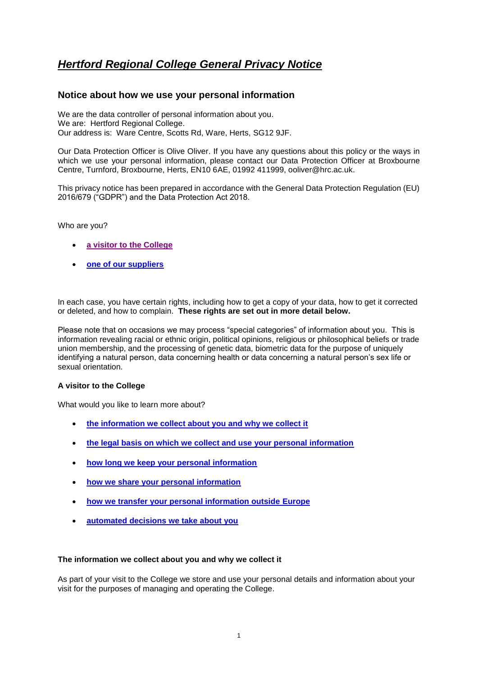# *Hertford Regional College General Privacy Notice*

## **Notice about how we use your personal information**

We are the data controller of personal information about you. We are: Hertford Regional College. Our address is: Ware Centre, Scotts Rd, Ware, Herts, SG12 9JF.

Our Data Protection Officer is Olive Oliver. If you have any questions about this policy or the ways in which we use your personal information, please contact our Data Protection Officer at Broxbourne Centre, Turnford, Broxbourne, Herts, EN10 6AE, 01992 411999, ooliver@hrc.ac.uk.

This privacy notice has been prepared in accordance with the General Data Protection Regulation (EU) 2016/679 ("GDPR") and the Data Protection Act 2018.

#### Who are you?

- **a visitor to [the College](#page-0-0)**
- **[one of our suppliers](#page-1-0)**

In each case, you have certain rights, including how to get a copy of your data, how to get it corrected or deleted, and how to complain. **These rights are set out in more detail below.** 

Please note that on occasions we may process "special categories" of information about you. This is information revealing racial or ethnic origin, political opinions, religious or philosophical beliefs or trade union membership, and the processing of genetic data, biometric data for the purpose of uniquely identifying a natural person, data concerning health or data concerning a natural person's sex life or sexual orientation.

## <span id="page-0-0"></span>**A visitor to the College**

What would you like to learn more about?

- **[the information we collect about you and why we collect it](#page-0-1)**
- **[the legal basis on which we collect and use your personal information](#page-1-1)**
- **[how long we keep your personal information](#page-1-2)**
- **[how we share your personal information](#page-1-3)**
- **[how we transfer your personal information outside Europe](#page-1-4)**
- **[automated decisions we take about you](#page-1-5)**

#### <span id="page-0-1"></span>**The information we collect about you and why we collect it**

As part of your visit to the College we store and use your personal details and information about your visit for the purposes of managing and operating the College.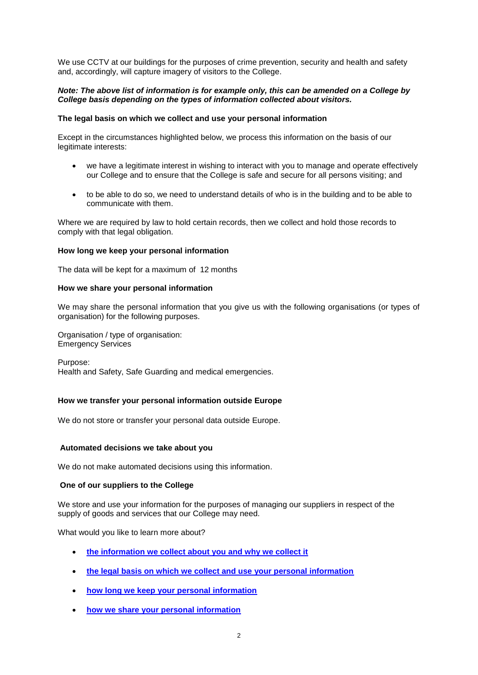We use CCTV at our buildings for the purposes of crime prevention, security and health and safety and, accordingly, will capture imagery of visitors to the College.

#### *Note: The above list of information is for example only, this can be amended on a College by College basis depending on the types of information collected about visitors.*

#### <span id="page-1-1"></span>**The legal basis on which we collect and use your personal information**

Except in the circumstances highlighted below, we process this information on the basis of our legitimate interests:

- we have a legitimate interest in wishing to interact with you to manage and operate effectively our College and to ensure that the College is safe and secure for all persons visiting; and
- to be able to do so, we need to understand details of who is in the building and to be able to communicate with them.

Where we are required by law to hold certain records, then we collect and hold those records to comply with that legal obligation.

#### <span id="page-1-2"></span>**How long we keep your personal information**

The data will be kept for a maximum of 12 months

#### <span id="page-1-3"></span>**How we share your personal information**

We may share the personal information that you give us with the following organisations (or types of organisation) for the following purposes.

Organisation / type of organisation: Emergency Services

Purpose: Health and Safety, Safe Guarding and medical emergencies.

#### <span id="page-1-4"></span>**How we transfer your personal information outside Europe**

We do not store or transfer your personal data outside Europe.

#### <span id="page-1-5"></span>**Automated decisions we take about you**

We do not make automated decisions using this information.

#### <span id="page-1-0"></span>**One of our suppliers to the College**

We store and use your information for the purposes of managing our suppliers in respect of the supply of goods and services that our College may need.

What would you like to learn more about?

- **[the information we collect about you and why we collect it](#page-2-0)**
- **[the legal basis on which we collect and use your personal information](#page-2-1)**
- **[how long we keep your personal information](#page-2-2)**
- **[how we share your personal information](#page-2-3)**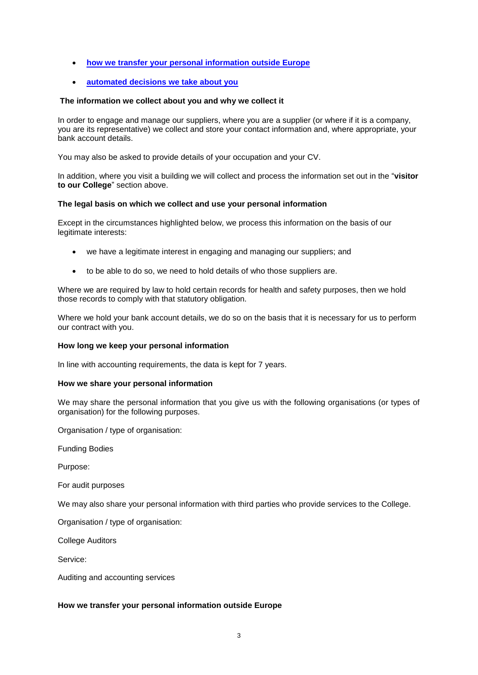- **[how we transfer your personal information outside Europe](#page-2-4)**
- **[automated decisions we take about you](#page-3-0)**

## <span id="page-2-0"></span>**The information we collect about you and why we collect it**

In order to engage and manage our suppliers, where you are a supplier (or where if it is a company, you are its representative) we collect and store your contact information and, where appropriate, your bank account details.

You may also be asked to provide details of your occupation and your CV.

In addition, where you visit a building we will collect and process the information set out in the "**visitor to our College**" section above.

#### <span id="page-2-1"></span>**The legal basis on which we collect and use your personal information**

Except in the circumstances highlighted below, we process this information on the basis of our legitimate interests:

- we have a legitimate interest in engaging and managing our suppliers; and
- to be able to do so, we need to hold details of who those suppliers are.

Where we are required by law to hold certain records for health and safety purposes, then we hold those records to comply with that statutory obligation.

Where we hold your bank account details, we do so on the basis that it is necessary for us to perform our contract with you.

## <span id="page-2-2"></span>**How long we keep your personal information**

In line with accounting requirements, the data is kept for 7 years.

## <span id="page-2-3"></span>**How we share your personal information**

We may share the personal information that you give us with the following organisations (or types of organisation) for the following purposes.

Organisation / type of organisation:

Funding Bodies

Purpose:

For audit purposes

We may also share your personal information with third parties who provide services to the College.

Organisation / type of organisation:

College Auditors

Service:

Auditing and accounting services

## <span id="page-2-4"></span>**How we transfer your personal information outside Europe**